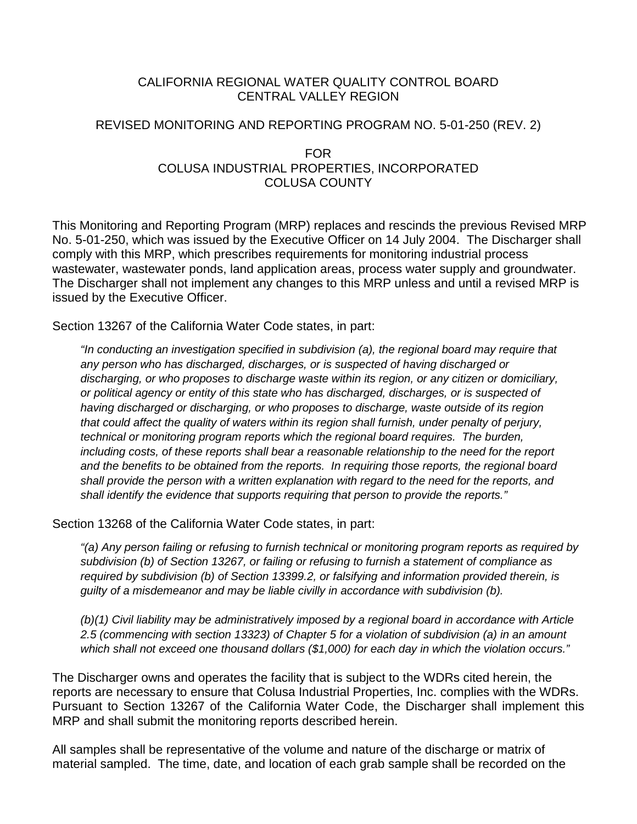### CALIFORNIA REGIONAL WATER QUALITY CONTROL BOARD CENTRAL VALLEY REGION

### REVISED MONITORING AND REPORTING PROGRAM NO. 5-01-250 (REV. 2)

### FOR COLUSA INDUSTRIAL PROPERTIES, INCORPORATED COLUSA COUNTY

This Monitoring and Reporting Program (MRP) replaces and rescinds the previous Revised MRP No. 5-01-250, which was issued by the Executive Officer on 14 July 2004. The Discharger shall comply with this MRP, which prescribes requirements for monitoring industrial process wastewater, wastewater ponds, land application areas, process water supply and groundwater. The Discharger shall not implement any changes to this MRP unless and until a revised MRP is issued by the Executive Officer.

Section 13267 of the California Water Code states, in part:

*"In conducting an investigation specified in subdivision (a), the regional board may require that any person who has discharged, discharges, or is suspected of having discharged or discharging, or who proposes to discharge waste within its region, or any citizen or domiciliary, or political agency or entity of this state who has discharged, discharges, or is suspected of having discharged or discharging, or who proposes to discharge, waste outside of its region that could affect the quality of waters within its region shall furnish, under penalty of perjury, technical or monitoring program reports which the regional board requires. The burden, including costs, of these reports shall bear a reasonable relationship to the need for the report and the benefits to be obtained from the reports. In requiring those reports, the regional board shall provide the person with a written explanation with regard to the need for the reports, and shall identify the evidence that supports requiring that person to provide the reports."*

Section 13268 of the California Water Code states, in part:

*"(a) Any person failing or refusing to furnish technical or monitoring program reports as required by subdivision (b) of Section 13267, or failing or refusing to furnish a statement of compliance as required by subdivision (b) of Section 13399.2, or falsifying and information provided therein, is guilty of a misdemeanor and may be liable civilly in accordance with subdivision (b).*

*(b)(1) Civil liability may be administratively imposed by a regional board in accordance with Article 2.5 (commencing with section 13323) of Chapter 5 for a violation of subdivision (a) in an amount which shall not exceed one thousand dollars (\$1,000) for each day in which the violation occurs."*

The Discharger owns and operates the facility that is subject to the WDRs cited herein, the reports are necessary to ensure that Colusa Industrial Properties, Inc. complies with the WDRs. Pursuant to Section 13267 of the California Water Code, the Discharger shall implement this MRP and shall submit the monitoring reports described herein.

All samples shall be representative of the volume and nature of the discharge or matrix of material sampled. The time, date, and location of each grab sample shall be recorded on the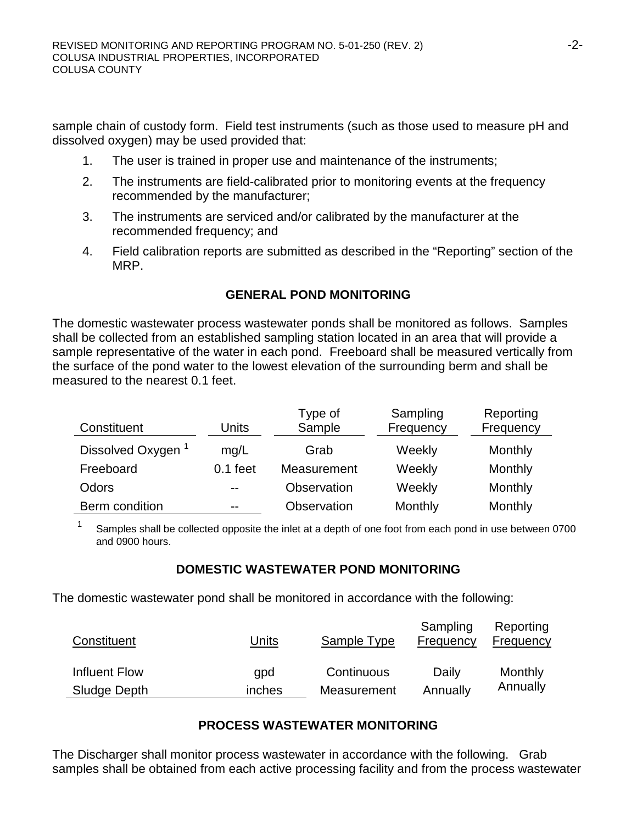sample chain of custody form. Field test instruments (such as those used to measure pH and dissolved oxygen) may be used provided that:

- 1. The user is trained in proper use and maintenance of the instruments;
- 2. The instruments are field-calibrated prior to monitoring events at the frequency recommended by the manufacturer;
- 3. The instruments are serviced and/or calibrated by the manufacturer at the recommended frequency; and
- 4. Field calibration reports are submitted as described in the "Reporting" section of the MRP.

# **GENERAL POND MONITORING**

The domestic wastewater process wastewater ponds shall be monitored as follows. Samples shall be collected from an established sampling station located in an area that will provide a sample representative of the water in each pond. Freeboard shall be measured vertically from the surface of the pond water to the lowest elevation of the surrounding berm and shall be measured to the nearest 0.1 feet.

| Constituent                   | Units      | Type of<br>Sample | Sampling<br>Frequency | Reporting<br>Frequency |
|-------------------------------|------------|-------------------|-----------------------|------------------------|
| Dissolved Oxygen <sup>1</sup> | mq/L       | Grab              | Weekly                | Monthly                |
| Freeboard                     | $0.1$ feet | Measurement       | Weekly                | Monthly                |
| Odors                         | $-$        | Observation       | Weekly                | Monthly                |
| Berm condition                | $- -$      | Observation       | Monthly               | Monthly                |

<sup>1</sup> Samples shall be collected opposite the inlet at a depth of one foot from each pond in use between 0700 and 0900 hours.

### **DOMESTIC WASTEWATER POND MONITORING**

The domestic wastewater pond shall be monitored in accordance with the following:

| Constituent   | Units  | Sample Type | Sampling<br>Frequency | Reporting<br>Frequency |
|---------------|--------|-------------|-----------------------|------------------------|
| Influent Flow | qpd    | Continuous  | Daily                 | Monthly                |
| Sludge Depth  | inches | Measurement | Annually              | Annually               |

### **PROCESS WASTEWATER MONITORING**

The Discharger shall monitor process wastewater in accordance with the following. Grab samples shall be obtained from each active processing facility and from the process wastewater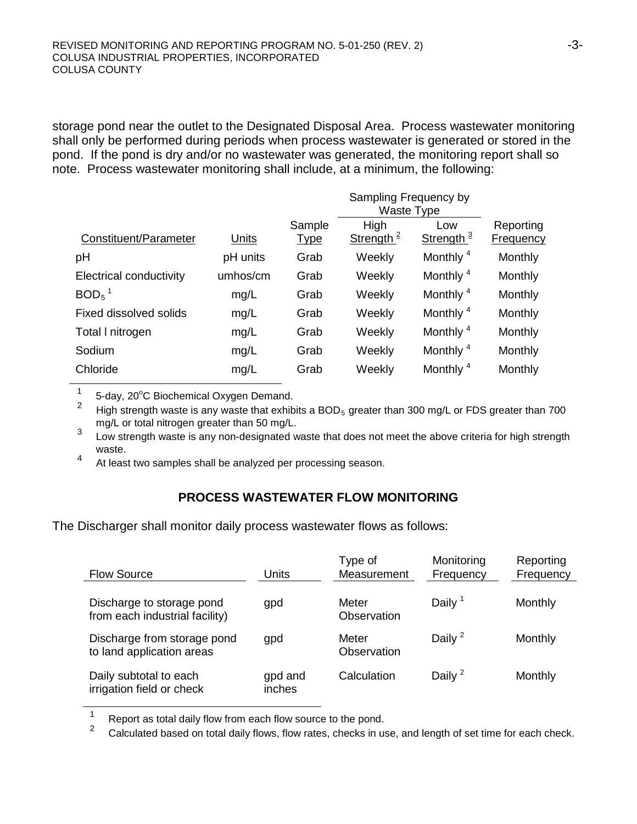storage pond near the outlet to the Designated Disposal Area. Process wastewater monitoring shall only be performed during periods when process wastewater is generated or stored in the pond. If the pond is dry and/or no wastewater was generated, the monitoring report shall so note. Process wastewater monitoring shall include, at a minimum, the following:

|                         |          |                       | Sampling Frequency by<br>Waste Type |                              |                               |  |
|-------------------------|----------|-----------------------|-------------------------------------|------------------------------|-------------------------------|--|
| Constituent/Parameter   | Units    | Sample<br><u>Type</u> | High<br>Strength <sup>2</sup>       | Low<br>Strength <sup>3</sup> | Reporting<br><b>Frequency</b> |  |
| pH                      | pH units | Grab                  | Weekly                              | Monthly <sup>4</sup>         | Monthly                       |  |
| Electrical conductivity | umhos/cm | Grab                  | Weekly                              | Monthly <sup>4</sup>         | Monthly                       |  |
| $BOD5$ <sup>1</sup>     | mg/L     | Grab                  | Weekly                              | Monthly <sup>4</sup>         | Monthly                       |  |
| Fixed dissolved solids  | mg/L     | Grab                  | Weekly                              | Monthly <sup>4</sup>         | Monthly                       |  |
| Total I nitrogen        | mg/L     | Grab                  | Weekly                              | Monthly <sup>4</sup>         | Monthly                       |  |
| Sodium                  | mg/L     | Grab                  | Weekly                              | Monthly <sup>4</sup>         | Monthly                       |  |
| Chloride                | mg/L     | Grab                  | Weekly                              | Monthly <sup>4</sup>         | Monthly                       |  |
|                         |          |                       |                                     |                              |                               |  |

 $1 - 5$ -day, 20 $^{\circ}$ C Biochemical Oxygen Demand.

2 High strength waste is any waste that exhibits a  $BOD_5$  greater than 300 mg/L or FDS greater than 700 mg/L or total nitrogen greater than 50 mg/L.

mg/L or total nintrogen greater than 50 mg/L.<br><sup>3</sup> Low strength waste is any non-designated waste that does not meet the above criteria for high strength waste.

4 At least two samples shall be analyzed per processing season.

# **PROCESS WASTEWATER FLOW MONITORING**

The Discharger shall monitor daily process wastewater flows as follows:

| <b>Flow Source</b>                                          | Units             | Type of<br>Measurement | Monitoring<br>Frequency | Reporting<br>Frequency |
|-------------------------------------------------------------|-------------------|------------------------|-------------------------|------------------------|
| Discharge to storage pond<br>from each industrial facility) | gpd               | Meter<br>Observation   | Daily <sup>1</sup>      | Monthly                |
| Discharge from storage pond<br>to land application areas    | gpd               | Meter<br>Observation   | Daily $2$               | Monthly                |
| Daily subtotal to each<br>irrigation field or check         | gpd and<br>inches | Calculation            | Daily $2$               | Monthly                |

<sup>1</sup> Report as total daily flow from each flow source to the pond.<br><sup>2</sup> Calculated has ad an total daily flave that the postal shade is w

Calculated based on total daily flows, flow rates, checks in use, and length of set time for each check.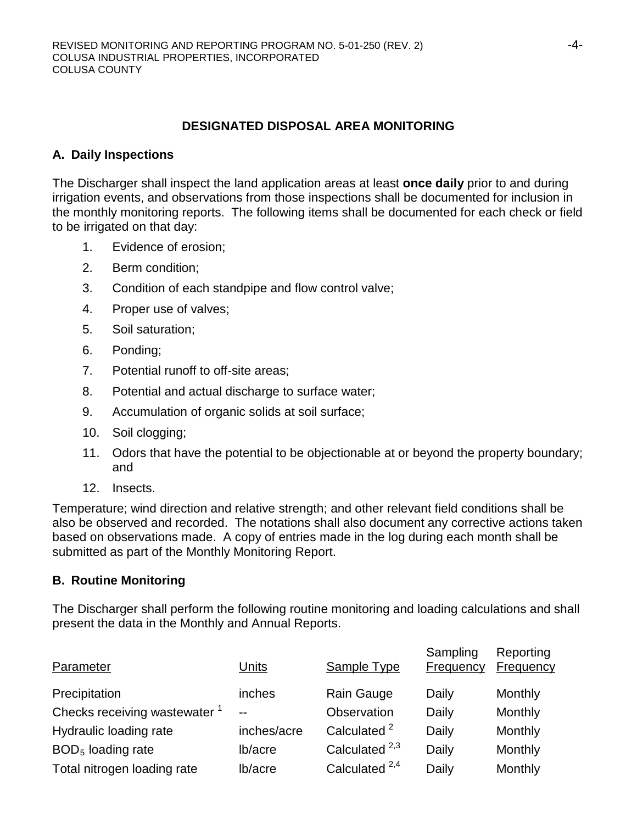### **DESIGNATED DISPOSAL AREA MONITORING**

### **A. Daily Inspections**

The Discharger shall inspect the land application areas at least **once daily** prior to and during irrigation events, and observations from those inspections shall be documented for inclusion in the monthly monitoring reports. The following items shall be documented for each check or field to be irrigated on that day:

- 1. Evidence of erosion;
- 2. Berm condition;
- 3. Condition of each standpipe and flow control valve;
- 4. Proper use of valves;
- 5. Soil saturation;
- 6. Ponding;
- 7. Potential runoff to off-site areas;
- 8. Potential and actual discharge to surface water;
- 9. Accumulation of organic solids at soil surface;
- 10. Soil clogging;
- 11. Odors that have the potential to be objectionable at or beyond the property boundary; and
- 12. Insects.

Temperature; wind direction and relative strength; and other relevant field conditions shall be also be observed and recorded. The notations shall also document any corrective actions taken based on observations made. A copy of entries made in the log during each month shall be submitted as part of the Monthly Monitoring Report.

#### **B. Routine Monitoring**

The Discharger shall perform the following routine monitoring and loading calculations and shall present the data in the Monthly and Annual Reports.

| Parameter                                | Units       | Sample Type               | Sampling<br>Frequency | Reporting<br><b>Frequency</b> |
|------------------------------------------|-------------|---------------------------|-----------------------|-------------------------------|
| Precipitation                            | inches      | Rain Gauge                | Daily                 | Monthly                       |
| Checks receiving wastewater <sup>1</sup> | $- -$       | Observation               | Daily                 | Monthly                       |
| Hydraulic loading rate                   | inches/acre | Calculated <sup>2</sup>   | Daily                 | Monthly                       |
| $BOD5$ loading rate                      | lb/acre     | Calculated <sup>2,3</sup> | Daily                 | Monthly                       |
| Total nitrogen loading rate              | lb/acre     | Calculated $^{2,4}$       | Daily                 | Monthly                       |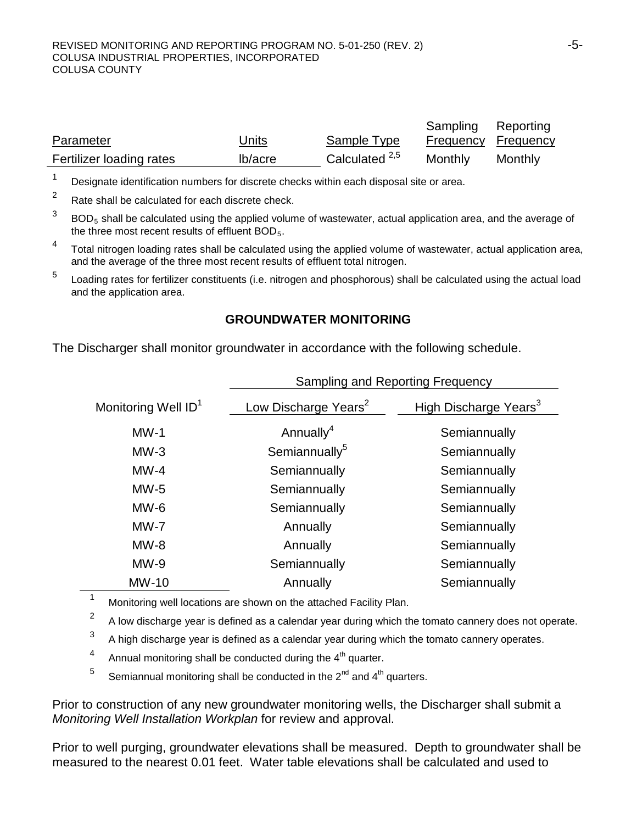|                          |              |                           | Sampling Reporting  |         |
|--------------------------|--------------|---------------------------|---------------------|---------|
| Parameter                | <u>Units</u> | Sample Type               | Frequency Frequency |         |
| Fertilizer loading rates | lb/acre      | Calculated <sup>2,5</sup> | Monthly             | Monthly |

<sup>1</sup> Designate identification numbers for discrete checks within each disposal site or area.

 $2^2$  Rate shall be calculated for each discrete check.

- $3$  BOD<sub>5</sub> shall be calculated using the applied volume of wastewater, actual application area, and the average of the three most recent results of effluent BOD<sub>5</sub>.
- <sup>4</sup> Total nitrogen loading rates shall be calculated using the applied volume of wastewater, actual application area, and the average of the three most recent results of effluent total nitrogen.
- <sup>5</sup> Loading rates for fertilizer constituents (i.e. nitrogen and phosphorous) shall be calculated using the actual load and the application area.

#### **GROUNDWATER MONITORING**

The Discharger shall monitor groundwater in accordance with the following schedule.

|                                 | Sampling and Reporting Frequency |                                   |  |  |
|---------------------------------|----------------------------------|-----------------------------------|--|--|
| Monitoring Well ID <sup>1</sup> | Low Discharge Years <sup>2</sup> | High Discharge Years <sup>3</sup> |  |  |
| $MW-1$                          | Annually <sup>4</sup>            | Semiannually                      |  |  |
| $MW-3$                          | Semiannually <sup>5</sup>        | Semiannually                      |  |  |
| $MW-4$                          | Semiannually                     | Semiannually                      |  |  |
| $MW-5$                          | Semiannually                     | Semiannually                      |  |  |
| $MW-6$                          | Semiannually                     | Semiannually                      |  |  |
| $MW-7$                          | Annually                         | Semiannually                      |  |  |
| $MW-8$                          | Annually                         | Semiannually                      |  |  |
| $MW-9$                          | Semiannually                     | Semiannually                      |  |  |
| <b>MW-10</b>                    | Annually                         | Semiannually                      |  |  |

Monitoring well locations are shown on the attached Facility Plan.

<sup>2</sup> A low discharge year is defined as a calendar year during which the tomato cannery does not operate.

 $3<sup>3</sup>$  A high discharge year is defined as a calendar year during which the tomato cannery operates.

4 Annual monitoring shall be conducted during the  $4<sup>th</sup>$  quarter.

<sup>5</sup> Semiannual monitoring shall be conducted in the  $2^{nd}$  and  $4^{th}$  quarters.

Prior to construction of any new groundwater monitoring wells, the Discharger shall submit a *Monitoring Well Installation Workplan* for review and approval.

Prior to well purging, groundwater elevations shall be measured. Depth to groundwater shall be measured to the nearest 0.01 feet. Water table elevations shall be calculated and used to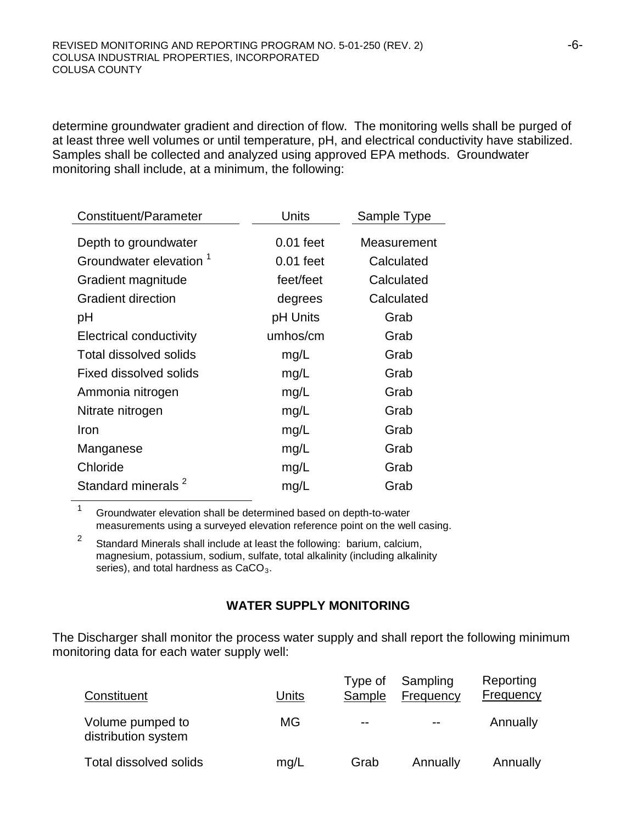determine groundwater gradient and direction of flow. The monitoring wells shall be purged of at least three well volumes or until temperature, pH, and electrical conductivity have stabilized. Samples shall be collected and analyzed using approved EPA methods. Groundwater monitoring shall include, at a minimum, the following:

| Constituent/Parameter              | Units       | Sample Type |
|------------------------------------|-------------|-------------|
| Depth to groundwater               | $0.01$ feet | Measurement |
| Groundwater elevation <sup>1</sup> | $0.01$ feet | Calculated  |
| Gradient magnitude                 | feet/feet   | Calculated  |
| <b>Gradient direction</b>          | degrees     | Calculated  |
| рH                                 | pH Units    | Grab        |
| <b>Electrical conductivity</b>     | umhos/cm    | Grab        |
| Total dissolved solids             | mg/L        | Grab        |
| Fixed dissolved solids             | mg/L        | Grab        |
| Ammonia nitrogen                   | mg/L        | Grab        |
| Nitrate nitrogen                   | mg/L        | Grab        |
| Iron                               | mg/L        | Grab        |
| Manganese                          | mg/L        | Grab        |
| Chloride                           | mg/L        | Grab        |
| Standard minerals <sup>2</sup>     | mg/L        | Grab        |

<sup>1</sup> Groundwater elevation shall be determined based on depth-to-water measurements using a surveyed elevation reference point on the well casing.

<sup>2</sup> Standard Minerals shall include at least the following: barium, calcium, magnesium, potassium, sodium, sulfate, total alkalinity (including alkalinity series), and total hardness as  $CaCO<sub>3</sub>$ .

# **WATER SUPPLY MONITORING**

The Discharger shall monitor the process water supply and shall report the following minimum monitoring data for each water supply well:

| Constituent                             | Units | Type of<br>Sample | Sampling<br>Frequency | Reporting<br><b>Frequency</b> |
|-----------------------------------------|-------|-------------------|-----------------------|-------------------------------|
| Volume pumped to<br>distribution system | МG    | $- -$             | $- -$                 | Annually                      |
| Total dissolved solids                  | mg/L  | Grab              | Annually              | Annually                      |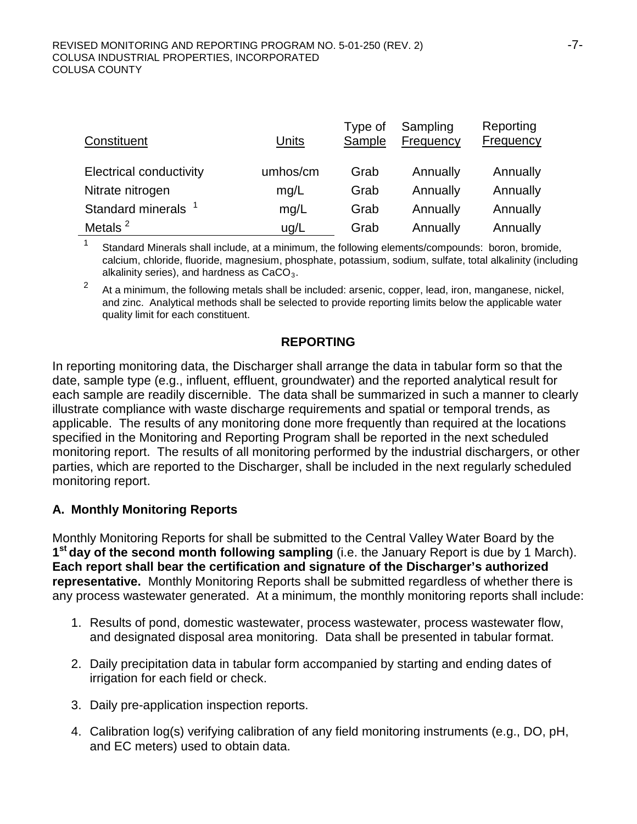| Constituent                    | Units    | Type of<br>Sample | Sampling<br>Frequency | Reporting<br><b>Frequency</b> |
|--------------------------------|----------|-------------------|-----------------------|-------------------------------|
| <b>Electrical conductivity</b> | umhos/cm | Grab              | Annually              | Annually                      |
| Nitrate nitrogen               | mg/L     | Grab              | Annually              | Annually                      |
| Standard minerals <sup>1</sup> | mg/L     | Grab              | Annually              | Annually                      |
| Metals $2$                     | ug/L     | Grab              | Annually              | Annually                      |

<sup>1</sup> Standard Minerals shall include, at a minimum, the following elements/compounds: boron, bromide, calcium, chloride, fluoride, magnesium, phosphate, potassium, sodium, sulfate, total alkalinity (including alkalinity series), and hardness as  $CaCO<sub>3</sub>$ .

 $2<sup>2</sup>$  At a minimum, the following metals shall be included: arsenic, copper, lead, iron, manganese, nickel, and zinc. Analytical methods shall be selected to provide reporting limits below the applicable water quality limit for each constituent.

### **REPORTING**

In reporting monitoring data, the Discharger shall arrange the data in tabular form so that the date, sample type (e.g., influent, effluent, groundwater) and the reported analytical result for each sample are readily discernible. The data shall be summarized in such a manner to clearly illustrate compliance with waste discharge requirements and spatial or temporal trends, as applicable. The results of any monitoring done more frequently than required at the locations specified in the Monitoring and Reporting Program shall be reported in the next scheduled monitoring report. The results of all monitoring performed by the industrial dischargers, or other parties, which are reported to the Discharger, shall be included in the next regularly scheduled monitoring report.

# **A. Monthly Monitoring Reports**

Monthly Monitoring Reports for shall be submitted to the Central Valley Water Board by the **1st day of the second month following sampling** (i.e. the January Report is due by 1 March). **Each report shall bear the certification and signature of the Discharger's authorized representative.** Monthly Monitoring Reports shall be submitted regardless of whether there is any process wastewater generated. At a minimum, the monthly monitoring reports shall include:

- 1. Results of pond, domestic wastewater, process wastewater, process wastewater flow, and designated disposal area monitoring. Data shall be presented in tabular format.
- 2. Daily precipitation data in tabular form accompanied by starting and ending dates of irrigation for each field or check.
- 3. Daily pre-application inspection reports.
- 4. Calibration log(s) verifying calibration of any field monitoring instruments (e.g., DO, pH, and EC meters) used to obtain data.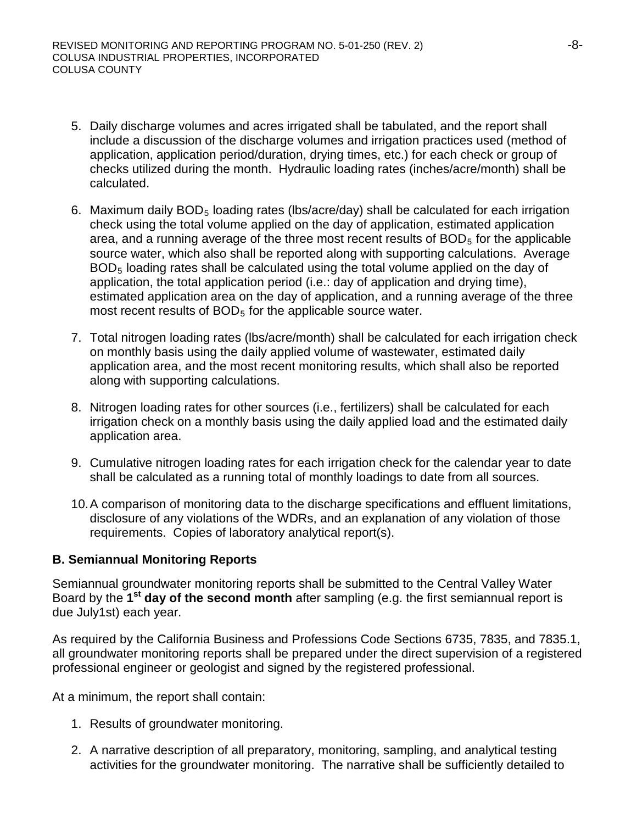- 5. Daily discharge volumes and acres irrigated shall be tabulated, and the report shall include a discussion of the discharge volumes and irrigation practices used (method of application, application period/duration, drying times, etc.) for each check or group of checks utilized during the month. Hydraulic loading rates (inches/acre/month) shall be calculated.
- 6. Maximum daily  $BOD_5$  loading rates (lbs/acre/day) shall be calculated for each irrigation check using the total volume applied on the day of application, estimated application area, and a running average of the three most recent results of  $BOD<sub>5</sub>$  for the applicable source water, which also shall be reported along with supporting calculations. Average BOD5 loading rates shall be calculated using the total volume applied on the day of application, the total application period (i.e.: day of application and drying time), estimated application area on the day of application, and a running average of the three most recent results of  $BOD<sub>5</sub>$  for the applicable source water.
- 7. Total nitrogen loading rates (lbs/acre/month) shall be calculated for each irrigation check on monthly basis using the daily applied volume of wastewater, estimated daily application area, and the most recent monitoring results, which shall also be reported along with supporting calculations.
- 8. Nitrogen loading rates for other sources (i.e., fertilizers) shall be calculated for each irrigation check on a monthly basis using the daily applied load and the estimated daily application area.
- 9. Cumulative nitrogen loading rates for each irrigation check for the calendar year to date shall be calculated as a running total of monthly loadings to date from all sources.
- 10.A comparison of monitoring data to the discharge specifications and effluent limitations, disclosure of any violations of the WDRs, and an explanation of any violation of those requirements. Copies of laboratory analytical report(s).

# **B. Semiannual Monitoring Reports**

Semiannual groundwater monitoring reports shall be submitted to the Central Valley Water Board by the **1st day of the second month** after sampling (e.g. the first semiannual report is due July1st) each year.

As required by the California Business and Professions Code Sections 6735, 7835, and 7835.1, all groundwater monitoring reports shall be prepared under the direct supervision of a registered professional engineer or geologist and signed by the registered professional.

At a minimum, the report shall contain:

- 1. Results of groundwater monitoring.
- 2. A narrative description of all preparatory, monitoring, sampling, and analytical testing activities for the groundwater monitoring. The narrative shall be sufficiently detailed to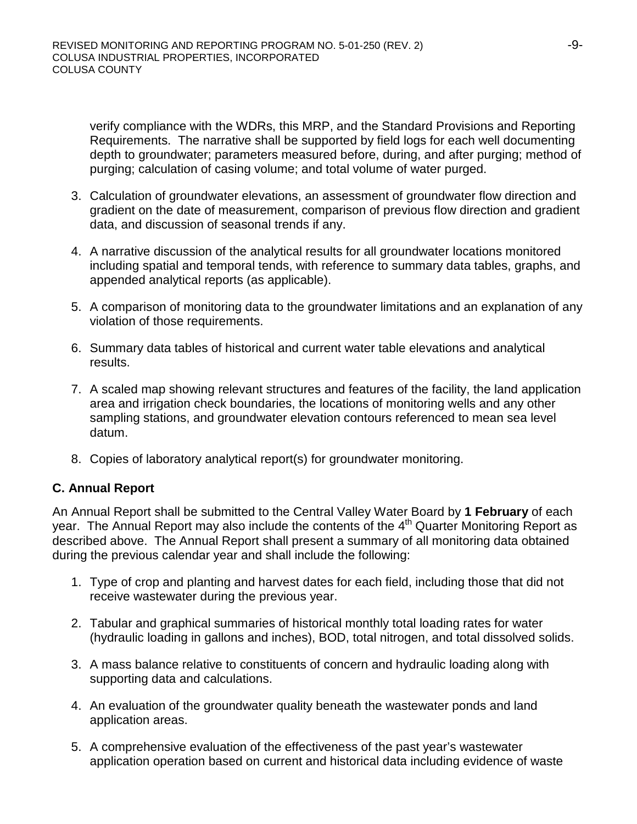verify compliance with the WDRs, this MRP, and the Standard Provisions and Reporting Requirements. The narrative shall be supported by field logs for each well documenting depth to groundwater; parameters measured before, during, and after purging; method of purging; calculation of casing volume; and total volume of water purged.

- 3. Calculation of groundwater elevations, an assessment of groundwater flow direction and gradient on the date of measurement, comparison of previous flow direction and gradient data, and discussion of seasonal trends if any.
- 4. A narrative discussion of the analytical results for all groundwater locations monitored including spatial and temporal tends, with reference to summary data tables, graphs, and appended analytical reports (as applicable).
- 5. A comparison of monitoring data to the groundwater limitations and an explanation of any violation of those requirements.
- 6. Summary data tables of historical and current water table elevations and analytical results.
- 7. A scaled map showing relevant structures and features of the facility, the land application area and irrigation check boundaries, the locations of monitoring wells and any other sampling stations, and groundwater elevation contours referenced to mean sea level datum.
- 8. Copies of laboratory analytical report(s) for groundwater monitoring.

# **C. Annual Report**

An Annual Report shall be submitted to the Central Valley Water Board by **1 February** of each year. The Annual Report may also include the contents of the  $4<sup>th</sup>$  Quarter Monitoring Report as described above. The Annual Report shall present a summary of all monitoring data obtained during the previous calendar year and shall include the following:

- 1. Type of crop and planting and harvest dates for each field, including those that did not receive wastewater during the previous year.
- 2. Tabular and graphical summaries of historical monthly total loading rates for water (hydraulic loading in gallons and inches), BOD, total nitrogen, and total dissolved solids.
- 3. A mass balance relative to constituents of concern and hydraulic loading along with supporting data and calculations.
- 4. An evaluation of the groundwater quality beneath the wastewater ponds and land application areas.
- 5. A comprehensive evaluation of the effectiveness of the past year's wastewater application operation based on current and historical data including evidence of waste